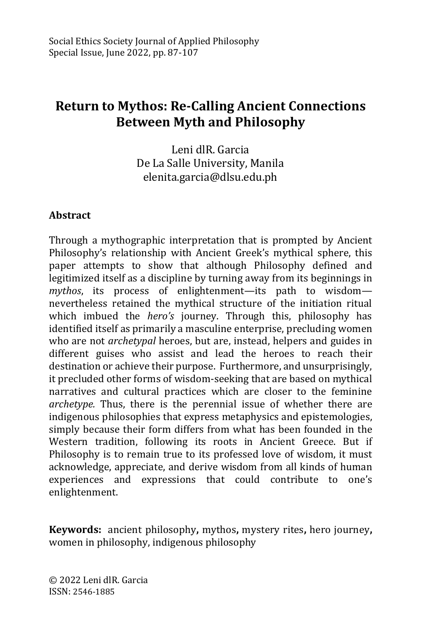# **Return to Mythos: Re-Calling Ancient Connections Between Myth and Philosophy**

Leni dlR. Garcia De La Salle University, Manila [elenita.garcia@dlsu.edu.ph](mailto:elenita.garcia@dlsu.edu.ph)

## **Abstract**

Through a mythographic interpretation that is prompted by Ancient Philosophy's relationship with Ancient Greek's mythical sphere, this paper attempts to show that although Philosophy defined and legitimized itself as a discipline by turning away from its beginnings in *mythos*, its process of enlightenment—its path to wisdom nevertheless retained the mythical structure of the initiation ritual which imbued the *hero's* journey. Through this, philosophy has identified itself as primarily a masculine enterprise, precluding women who are not *archetypal* heroes, but are, instead, helpers and guides in different guises who assist and lead the heroes to reach their destination or achieve their purpose. Furthermore, and unsurprisingly, it precluded other forms of wisdom-seeking that are based on mythical narratives and cultural practices which are closer to the feminine *archetype.* Thus, there is the perennial issue of whether there are indigenous philosophies that express metaphysics and epistemologies, simply because their form differs from what has been founded in the Western tradition, following its roots in Ancient Greece. But if Philosophy is to remain true to its professed love of wisdom, it must acknowledge, appreciate, and derive wisdom from all kinds of human experiences and expressions that could contribute to one's enlightenment.

**Keywords:** ancient philosophy**,** mythos**,** mystery rites**,** hero journey**,** women in philosophy, indigenous philosophy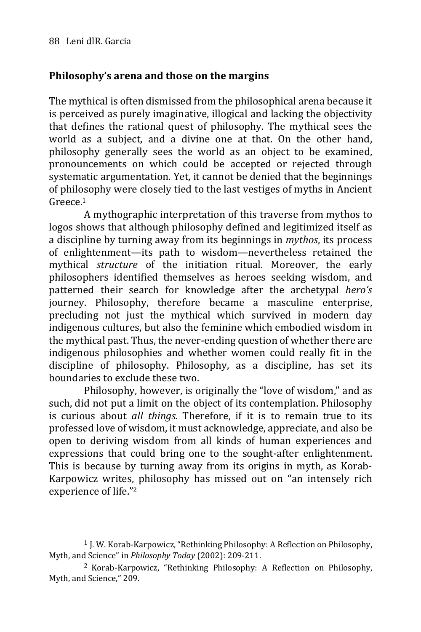# **Philosophy's arena and those on the margins**

The mythical is often dismissed from the philosophical arena because it is perceived as purely imaginative, illogical and lacking the objectivity that defines the rational quest of philosophy. The mythical sees the world as a subject, and a divine one at that. On the other hand, philosophy generally sees the world as an object to be examined, pronouncements on which could be accepted or rejected through systematic argumentation. Yet, it cannot be denied that the beginnings of philosophy were closely tied to the last vestiges of myths in Ancient Greece.<sup>1</sup>

A mythographic interpretation of this traverse from mythos to logos shows that although philosophy defined and legitimized itself as a discipline by turning away from its beginnings in *mythos*, its process of enlightenment—its path to wisdom—nevertheless retained the mythical *structure* of the initiation ritual. Moreover, the early philosophers identified themselves as heroes seeking wisdom, and patterned their search for knowledge after the archetypal *hero's* journey. Philosophy, therefore became a masculine enterprise, precluding not just the mythical which survived in modern day indigenous cultures, but also the feminine which embodied wisdom in the mythical past. Thus, the never-ending question of whether there are indigenous philosophies and whether women could really fit in the discipline of philosophy. Philosophy, as a discipline, has set its boundaries to exclude these two.

Philosophy, however, is originally the "love of wisdom," and as such, did not put a limit on the object of its contemplation. Philosophy is curious about *all things.* Therefore, if it is to remain true to its professed love of wisdom, it must acknowledge, appreciate, and also be open to deriving wisdom from all kinds of human experiences and expressions that could bring one to the sought-after enlightenment. This is because by turning away from its origins in myth, as Korab-Karpowicz writes, philosophy has missed out on "an intensely rich experience of life."<sup>2</sup>

<sup>1</sup> J. W. Korab-Karpowicz, "Rethinking Philosophy: A Reflection on Philosophy, Myth, and Science" in *Philosophy Today* (2002): 209-211.

<sup>2</sup> Korab-Karpowicz, "Rethinking Philosophy: A Reflection on Philosophy, Myth, and Science," 209.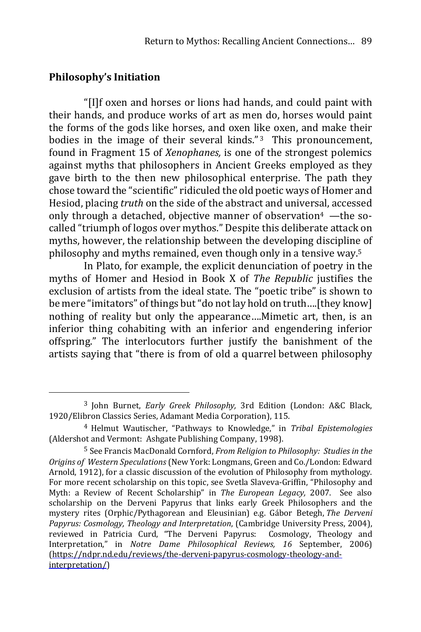## **Philosophy's Initiation**

<u>.</u>

"[I]f oxen and horses or lions had hands, and could paint with their hands, and produce works of art as men do, horses would paint the forms of the gods like horses, and oxen like oxen, and make their bodies in the image of their several kinds." $3$  This pronouncement, found in Fragment 15 of *Xenophanes,* is one of the strongest polemics against myths that philosophers in Ancient Greeks employed as they gave birth to the then new philosophical enterprise. The path they chose toward the "scientific" ridiculed the old poetic ways of Homer and Hesiod, placing *truth* on the side of the abstract and universal, accessed only through a detached, objective manner of observation<sup>4</sup> —the socalled "triumph of logos over mythos." Despite this deliberate attack on myths, however, the relationship between the developing discipline of philosophy and myths remained, even though only in a tensive way.<sup>5</sup>

In Plato, for example, the explicit denunciation of poetry in the myths of Homer and Hesiod in Book X of *The Republic* justifies the exclusion of artists from the ideal state. The "poetic tribe" is shown to be mere "imitators" of things but"do not lay hold on truth….[they know] nothing of reality but only the appearance….Mimetic art, then, is an inferior thing cohabiting with an inferior and engendering inferior offspring." The interlocutors further justify the banishment of the artists saying that "there is from of old a quarrel between philosophy

<sup>3</sup> John Burnet, *Early Greek Philosophy,* 3rd Edition (London: A&C Black, 1920/Elibron Classics Series, Adamant Media Corporation), 115.

<sup>4</sup> Helmut Wautischer, "Pathways to Knowledge," in *Tribal Epistemologies* (Aldershot and Vermont: Ashgate Publishing Company, 1998).

<sup>5</sup> See Francis MacDonald Cornford, *From Religion to Philosophy: Studies in the Origins of Western Speculations* (New York: Longmans, Green and Co./London: Edward Arnold, 1912), for a classic discussion of the evolution of Philosophy from mythology. For more recent scholarship on this topic, see Svetla Slaveva-Griffin, "Philosophy and Myth: a Review of Recent Scholarship" in *The European Legacy,* 2007. See also scholarship on the Derveni Papyrus that links early Greek Philosophers and the mystery rites (Orphic/Pythagorean and Eleusinian) e.g. Gábor Betegh, *The Derveni Papyrus: Cosmology, Theology and Interpretation*, (Cambridge University Press, 2004), reviewed in Patricia Curd, "The Derveni Papyrus: Cosmology, Theology and Interpretation," in *Notre Dame Philosophical Reviews, 16* September, 2006) [\(https://ndpr.nd.edu/reviews/the-derveni-papyrus-cosmology-theology-and](https://ndpr.nd.edu/reviews/the-derveni-papyrus-cosmology-theology-and-interpretation/)[interpretation/\)](https://ndpr.nd.edu/reviews/the-derveni-papyrus-cosmology-theology-and-interpretation/)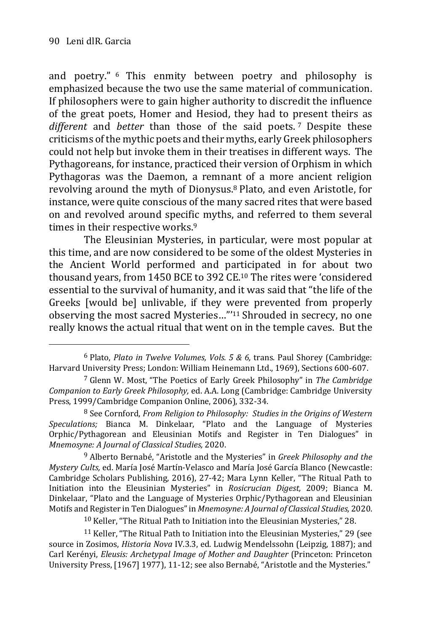1

and poetry." <sup>6</sup> This enmity between poetry and philosophy is emphasized because the two use the same material of communication. If philosophers were to gain higher authority to discredit the influence of the great poets, Homer and Hesiod, they had to present theirs as *different* and *better* than those of the said poets. <sup>7</sup> Despite these criticisms of the mythic poets and their myths, early Greek philosophers could not help but invoke them in their treatises in different ways. The Pythagoreans, for instance, practiced their version of Orphism in which Pythagoras was the Daemon, a remnant of a more ancient religion revolving around the myth of Dionysus.<sup>8</sup> Plato, and even Aristotle, for instance, were quite conscious of the many sacred rites that were based on and revolved around specific myths, and referred to them several times in their respective works.<sup>9</sup>

The Eleusinian Mysteries, in particular, were most popular at this time, and are now considered to be some of the oldest Mysteries in the Ancient World performed and participated in for about two thousand years, from 1450 BCE to 392 CE.<sup>10</sup> The rites were 'considered essential to the survival of humanity, and it was said that "the life of the Greeks [would be] unlivable, if they were prevented from properly observing the most sacred Mysteries…"'<sup>11</sup> Shrouded in secrecy, no one really knows the actual ritual that went on in the temple caves. But the

10 Keller, "The Ritual Path to Initiation into the Eleusinian Mysteries," 28.

11 Keller, "The Ritual Path to Initiation into the Eleusinian Mysteries," 29 (see source in Zosimos, *Historia Nova* IV.3.3, ed. Ludwig Mendelssohn (Leipzig, 1887); and Carl Kerényi, *Eleusis: Archetypal Image of Mother and Daughter* (Princeton: Princeton University Press, [1967] 1977), 11-12; see also Bernabé, "Aristotle and the Mysteries."

<sup>6</sup> Plato, *Plato in Twelve Volumes, Vols. 5 & 6,* trans. Paul Shorey (Cambridge: Harvard University Press; London: William Heinemann Ltd., 1969), Sections 600-607.

<sup>7</sup> Glenn W. Most, "The Poetics of Early Greek Philosophy" in *The Cambridge Companion to Early Greek Philosophy,* ed. A.A. Long (Cambridge: Cambridge University Press, 1999/Cambridge Companion Online, 2006), 332-34.

<sup>8</sup> See Cornford, *From Religion to Philosophy: Studies in the Origins of Western Speculations;* Bianca M. Dinkelaar, "Plato and the Language of Mysteries Orphic/Pythagorean and Eleusinian Motifs and Register in Ten Dialogues" in *Mnemosyne: A Journal of Classical Studies,* 2020.

<sup>9</sup> Alberto Bernabé, "Aristotle and the Mysteries" in *Greek Philosophy and the Mystery Cults,* ed. María José Martín-Velasco and María José García Blanco (Newcastle: Cambridge Scholars Publishing, 2016), 27-42; Mara Lynn Keller, "The Ritual Path to Initiation into the Eleusinian Mysteries" in *Rosicrucian Digest,* 2009; Bianca M. Dinkelaar, "Plato and the Language of Mysteries Orphic/Pythagorean and Eleusinian Motifs and Register in TenDialogues"in*Mnemosyne: A Journal of Classical Studies,* 2020.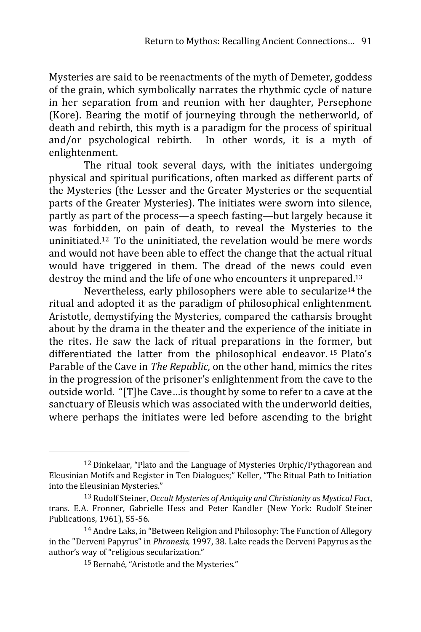Mysteries are said to be reenactments of the myth of Demeter, goddess of the grain, which symbolically narrates the rhythmic cycle of nature in her separation from and reunion with her daughter, Persephone (Kore). Bearing the motif of journeying through the netherworld, of death and rebirth, this myth is a paradigm for the process of spiritual and/or psychological rebirth. In other words, it is a myth of enlightenment.

The ritual took several days, with the initiates undergoing physical and spiritual purifications, often marked as different parts of the Mysteries (the Lesser and the Greater Mysteries or the sequential parts of the Greater Mysteries). The initiates were sworn into silence, partly as part of the process—a speech fasting—but largely because it was forbidden, on pain of death, to reveal the Mysteries to the uninitiated.12 To the uninitiated, the revelation would be mere words and would not have been able to effect the change that the actual ritual would have triggered in them. The dread of the news could even destroy the mind and the life of one who encounters it unprepared.<sup>13</sup>

Nevertheless, early philosophers were able to secularize<sup>14</sup> the ritual and adopted it as the paradigm of philosophical enlightenment. Aristotle, demystifying the Mysteries, compared the catharsis brought about by the drama in the theater and the experience of the initiate in the rites. He saw the lack of ritual preparations in the former, but differentiated the latter from the philosophical endeavor. <sup>15</sup> Plato's Parable of the Cave in *The Republic,* on the other hand, mimics the rites in the progression of the prisoner's enlightenment from the cave to the outside world. "[T]he Cave…is thought by some to refer to a cave at the sanctuary of Eleusis which was associated with the underworld deities, where perhaps the initiates were led before ascending to the bright

<sup>&</sup>lt;sup>12</sup> Dinkelaar, "Plato and the Language of Mysteries Orphic/Pythagorean and Eleusinian Motifs and Register in Ten Dialogues;" Keller, "The Ritual Path to Initiation into the Eleusinian Mysteries."

<sup>13</sup> Rudolf Steiner, *Occult Mysteries of Antiquity and Christianity as Mystical Fact,* trans. E.A. Fronner, Gabrielle Hess and Peter Kandler (New York: Rudolf Steiner Publications, 1961), 55-56.

<sup>14</sup> Andre Laks, in "Between Religion and Philosophy: The Function of Allegory in the "Derveni Papyrus" in *Phronesis,* 1997, 38. Lake reads the Derveni Papyrus as the author's way of "religious secularization."

<sup>15</sup> Bernabé, "Aristotle and the Mysteries."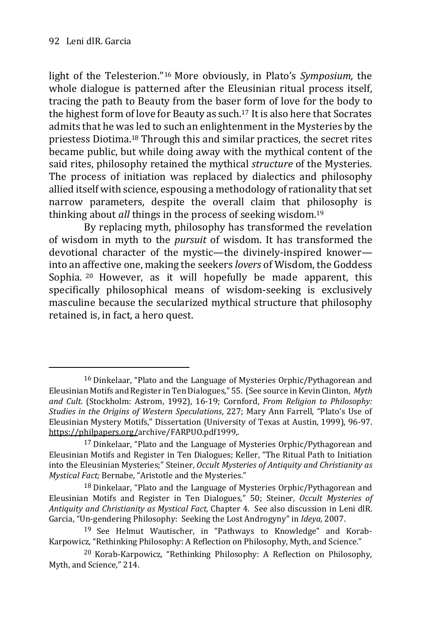light of the Telesterion."<sup>16</sup> More obviously, in Plato's *Symposium,* the whole dialogue is patterned after the Eleusinian ritual process itself, tracing the path to Beauty from the baser form of love for the body to the highest form of love for Beauty as such.<sup>17</sup> It is also here that Socrates admits that he was led to such an enlightenment in the Mysteries by the priestess Diotima.<sup>18</sup> Through this and similar practices, the secret rites became public, but while doing away with the mythical content of the said rites, philosophy retained the mythical *structure* of the Mysteries. The process of initiation was replaced by dialectics and philosophy allied itself with science, espousing a methodology of rationality that set narrow parameters, despite the overall claim that philosophy is thinking about *all* things in the process of seeking wisdom.<sup>19</sup>

By replacing myth, philosophy has transformed the revelation of wisdom in myth to the *pursuit* of wisdom. It has transformed the devotional character of the mystic—the divinely-inspired knower into an affective one, making the seekers *lovers* of Wisdom, the Goddess Sophia. <sup>20</sup> However, as it will hopefully be made apparent, this specifically philosophical means of wisdom-seeking is exclusively masculine because the secularized mythical structure that philosophy retained is, in fact, a hero quest.

<sup>16</sup> Dinkelaar, "Plato and the Language of Mysteries Orphic/Pythagorean and Eleusinian Motifs andRegister in TenDialogues," 55. (See source inKevin Clinton, *Myth and Cult*. (Stockholm: Astrom, 1992), 16-19; Cornford, *From Religion to Philosophy: Studies in the Origins of Western Speculations*, 227; Mary Ann Farrell, "Plato's Use of Eleusinian Mystery Motifs," Dissertation (University of Texas at Austin, 1999), 96-97. [https://philpapers.org/a](https://philpapers.org/)rchive/FARPUO.pdf1999,.

<sup>17</sup> Dinkelaar, "Plato and the Language of Mysteries Orphic/Pythagorean and Eleusinian Motifs and Register in Ten Dialogues; Keller, "The Ritual Path to Initiation into the Eleusinian Mysteries;" Steiner, *Occult Mysteries of Antiquity and Christianity as Mystical Fact;* Bernabe, "Aristotle and the Mysteries."

<sup>18</sup> Dinkelaar, "Plato and the Language of Mysteries Orphic/Pythagorean and Eleusinian Motifs and Register in Ten Dialogues," 50; Steiner, *Occult Mysteries of Antiquity and Christianity as Mystical Fact,* Chapter 4. See also discussion in Leni dlR. Garcia, "Un-gendering Philosophy: Seeking the Lost Androgyny" in *Ideya,* 2007.

<sup>19</sup> See Helmut Wautischer, in "Pathways to Knowledge" and Korab-Karpowicz, "Rethinking Philosophy: A Reflection on Philosophy, Myth, and Science."

<sup>20</sup> Korab-Karpowicz, "Rethinking Philosophy: A Reflection on Philosophy, Myth, and Science," 214.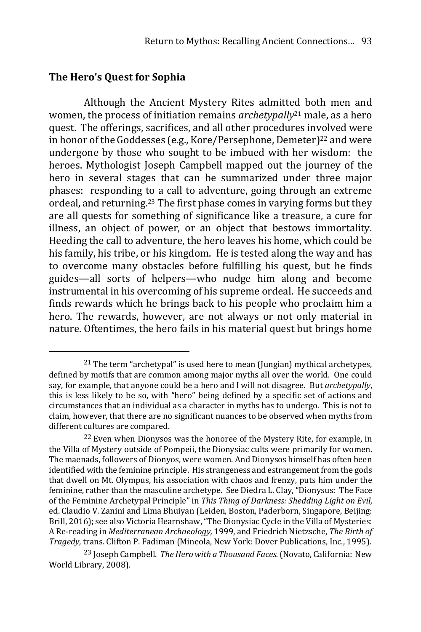#### **The Hero's Quest for Sophia**

1

Although the Ancient Mystery Rites admitted both men and women, the process of initiation remains *archetypally*<sup>21</sup> male, as a hero quest. The offerings, sacrifices, and all other procedures involved were in honor of the Goddesses (e.g., Kore/Persephone, Demeter)<sup>22</sup> and were undergone by those who sought to be imbued with her wisdom: the heroes. Mythologist Joseph Campbell mapped out the journey of the hero in several stages that can be summarized under three major phases: responding to a call to adventure, going through an extreme ordeal, and returning.<sup>23</sup> The first phase comes in varying forms but they are all quests for something of significance like a treasure, a cure for illness, an object of power, or an object that bestows immortality. Heeding the call to adventure, the hero leaves his home, which could be his family, his tribe, or his kingdom. He is tested along the way and has to overcome many obstacles before fulfilling his quest, but he finds guides—all sorts of helpers—who nudge him along and become instrumental in his overcoming of his supreme ordeal. He succeeds and finds rewards which he brings back to his people who proclaim him a hero. The rewards, however, are not always or not only material in nature. Oftentimes, the hero fails in his material quest but brings home

<sup>&</sup>lt;sup>21</sup> The term "archetypal" is used here to mean (Jungian) mythical archetypes, defined by motifs that are common among major myths all over the world. One could say, for example, that anyone could be a hero and I will not disagree. But *archetypally*, this is less likely to be so, with "hero" being defined by a specific set of actions and circumstances that an individual as a character in myths has to undergo. This is not to claim, however, that there are no significant nuances to be observed when myths from different cultures are compared.

<sup>&</sup>lt;sup>22</sup> Even when Dionysos was the honoree of the Mystery Rite, for example, in the Villa of Mystery outside of Pompeii, the Dionysiac cults were primarily for women. The maenads, followers of Dionyos, were women. And Dionysos himself has often been identified with the feminine principle. His strangeness and estrangement from the gods that dwell on Mt. Olympus, his association with chaos and frenzy, puts him under the feminine, rather than the masculine archetype. See Diedra L. Clay, "Dionysus: The Face of the Feminine Archetypal Principle" in *This Thing of Darkness: Shedding Light on Evil,* ed. Claudio V. Zanini and Lima Bhuiyan (Leiden, Boston, Paderborn, Singapore, Beijing: Brill, 2016); see also Victoria Hearnshaw, "The Dionysiac Cycle in the Villa of Mysteries: A Re-reading in *Mediterranean Archaeology,* 1999, and Friedrich Nietzsche, *The Birth of Tragedy,* trans. Clifton P. Fadiman (Mineola, New York: Dover Publications, Inc., 1995).

<sup>23</sup> Joseph Campbell. *TheHero with a Thousand Faces.*(Novato, California: New World Library, 2008).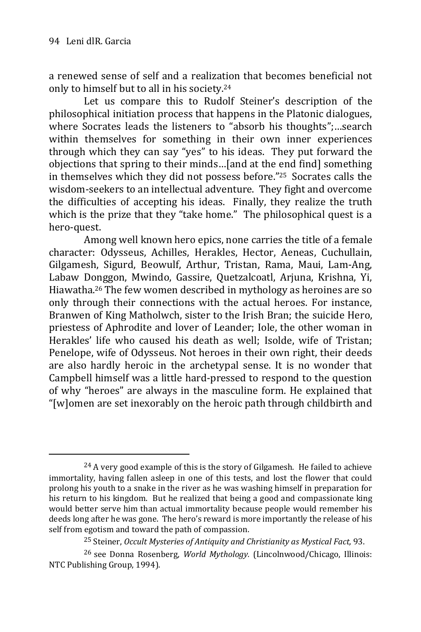1

a renewed sense of self and a realization that becomes beneficial not only to himself but to all in his society.<sup>24</sup>

Let us compare this to Rudolf Steiner's description of the philosophical initiation process that happens in the Platonic dialogues, where Socrates leads the listeners to "absorb his thoughts";…search within themselves for something in their own inner experiences through which they can say "yes" to his ideas. They put forward the objections that spring to their minds…[and at the end find] something in themselves which they did not possess before."25 Socrates calls the wisdom-seekers to an intellectual adventure. They fight and overcome the difficulties of accepting his ideas. Finally, they realize the truth which is the prize that they "take home." The philosophical quest is a hero-quest.

Among well known hero epics, none carries the title of a female character: Odysseus, Achilles, Herakles, Hector, Aeneas, Cuchullain, Gilgamesh, Sigurd, Beowulf, Arthur, Tristan, Rama, Maui, Lam-Ang, Labaw Donggon, Mwindo, Gassire, Quetzalcoatl, Arjuna, Krishna, Yi, Hiawatha.<sup>26</sup> The few women described in mythology as heroines are so only through their connections with the actual heroes. For instance, Branwen of King Matholwch, sister to the Irish Bran; the suicide Hero, priestess of Aphrodite and lover of Leander; Iole, the other woman in Herakles' life who caused his death as well; Isolde, wife of Tristan; Penelope, wife of Odysseus. Not heroes in their own right, their deeds are also hardly heroic in the archetypal sense. It is no wonder that Campbell himself was a little hard-pressed to respond to the question of why "heroes" are always in the masculine form. He explained that "[w]omen are set inexorably on the heroic path through childbirth and

<sup>&</sup>lt;sup>24</sup> A very good example of this is the story of Gilgamesh. He failed to achieve immortality, having fallen asleep in one of this tests, and lost the flower that could prolong his youth to a snake in the river as he was washing himself in preparation for his return to his kingdom. But he realized that being a good and compassionate king would better serve him than actual immortality because people would remember his deeds long after he was gone. The hero's reward is more importantly the release of his self from egotism and toward the path of compassion.

<sup>25</sup> Steiner, *Occult Mysteries of Antiquity and Christianity as Mystical Fact,* 93.

<sup>26</sup> see Donna Rosenberg, *World Mythology.* (Lincolnwood/Chicago, Illinois: NTC Publishing Group, 1994).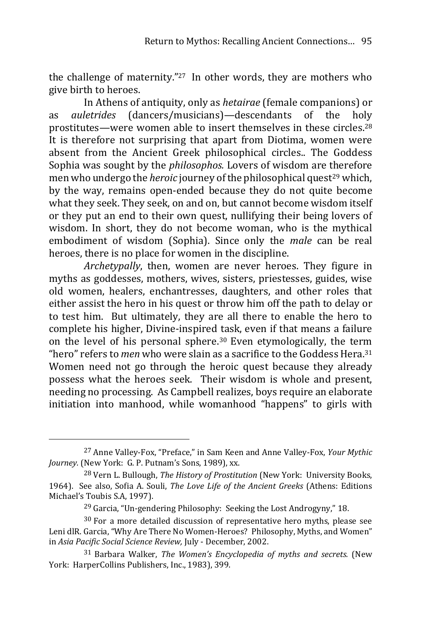the challenge of maternity."27 In other words, they are mothers who give birth to heroes.

In Athens of antiquity, only as *hetairae* (female companions) or as *auletrides* (dancers/musicians)*—*descendants of the holy prostitutes—were women able to insert themselves in these circles.<sup>28</sup> It is therefore not surprising that apart from Diotima, women were absent from the Ancient Greek philosophical circles.. The Goddess Sophia was sought by the *philosophos.* Lovers of wisdom are therefore men who undergo the *heroic* journey of the philosophical quest<sup>29</sup> which. by the way, remains open-ended because they do not quite become what they seek. They seek, on and on, but cannot become wisdom itself or they put an end to their own quest, nullifying their being lovers of wisdom. In short, they do not become woman, who is the mythical embodiment of wisdom (Sophia). Since only the *male* can be real heroes, there is no place for women in the discipline.

*Archetypally*, then, women are never heroes. They figure in myths as goddesses, mothers, wives, sisters, priestesses, guides, wise old women, healers, enchantresses, daughters, and other roles that either assist the hero in his quest or throw him off the path to delay or to test him. But ultimately, they are all there to enable the hero to complete his higher, Divine-inspired task, even if that means a failure on the level of his personal sphere.<sup>30</sup> Even etymologically, the term "hero" refers to *men* who were slain as a sacrifice to the Goddess Hera.<sup>31</sup> Women need not go through the heroic quest because they already possess what the heroes seek. Their wisdom is whole and present, needing no processing. As Campbell realizes, boys require an elaborate initiation into manhood, while womanhood "happens" to girls with

<u>.</u>

<sup>27</sup> Anne Valley-Fox, "Preface," in Sam Keen and Anne Valley-Fox, *Your Mythic Journey.* (New York: G. P. Putnam's Sons, 1989), xx.

<sup>28</sup> Vern L. Bullough, *The History of Prostitution* (New York: University Books, 1964). See also, Sofia A. Souli, *The Love Life of the Ancient Greeks* (Athens: Editions Michael's Toubis S.A, 1997).

<sup>&</sup>lt;sup>29</sup> Garcia, "Un-gendering Philosophy: Seeking the Lost Androgyny," 18.

 $30$  For a more detailed discussion of representative hero myths, please see Leni dlR. Garcia, "Why Are There No Women-Heroes? Philosophy, Myths, and Women" in *Asia Pacific Social Science Review,* July - December, 2002.

<sup>31</sup> Barbara Walker, *The Women's Encyclopedia of myths and secrets.* (New York: HarperCollins Publishers, Inc., 1983), 399.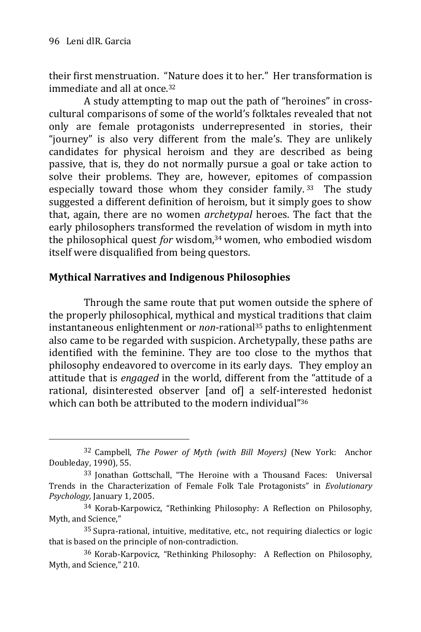their first menstruation. "Nature does it to her." Her transformation is immediate and all at once.<sup>32</sup>

A study attempting to map out the path of "heroines" in crosscultural comparisons of some of the world's folktales revealed that not only are female protagonists underrepresented in stories, their "journey" is also very different from the male's. They are unlikely candidates for physical heroism and they are described as being passive, that is, they do not normally pursue a goal or take action to solve their problems. They are, however, epitomes of compassion especially toward those whom they consider family. <sup>33</sup> The study suggested a different definition of heroism, but it simply goes to show that, again, there are no women *archetypal* heroes. The fact that the early philosophers transformed the revelation of wisdom in myth into the philosophical quest *for* wisdom,<sup>34</sup> women, who embodied wisdom itself were disqualified from being questors.

## **Mythical Narratives and Indigenous Philosophies**

Through the same route that put women outside the sphere of the properly philosophical, mythical and mystical traditions that claim instantaneous enlightenment or *non*-rational<sup>35</sup> paths to enlightenment also came to be regarded with suspicion. Archetypally, these paths are identified with the feminine. They are too close to the mythos that philosophy endeavored to overcome in its early days. They employ an attitude that is *engaged* in the world, different from the "attitude of a rational, disinterested observer [and of] a self-interested hedonist which can both be attributed to the modern individual"<sup>36</sup>

<sup>32</sup> Campbell, *The Power of Myth (with Bill Moyers)* (New York: Anchor Doubleday, 1990), 55.

<sup>33</sup> Jonathan Gottschall, "The Heroine with a Thousand Faces: Universal Trends in the Characterization of Female Folk Tale Protagonists" in *Evolutionary Psychology,* January 1, 2005.

<sup>34</sup> Korab-Karpowicz, "Rethinking Philosophy: A Reflection on Philosophy, Myth, and Science,"

<sup>35</sup> Supra-rational, intuitive, meditative, etc., not requiring dialectics or logic that is based on the principle of non-contradiction.

<sup>36</sup> Korab-Karpovicz, "Rethinking Philosophy: A Reflection on Philosophy, Myth, and Science," 210.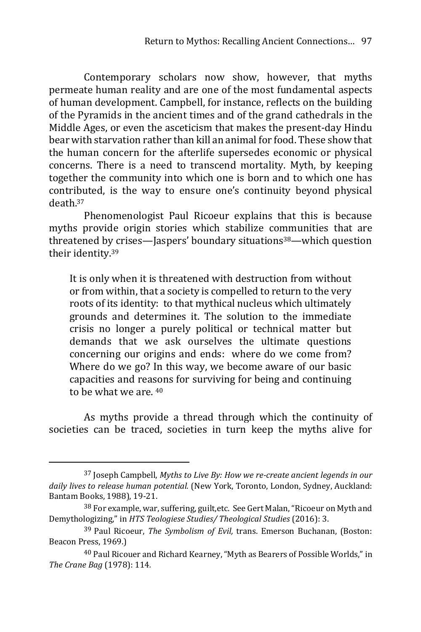Contemporary scholars now show, however, that myths permeate human reality and are one of the most fundamental aspects of human development. Campbell, for instance, reflects on the building of the Pyramids in the ancient times and of the grand cathedrals in the Middle Ages, or even the asceticism that makes the present-day Hindu bear with starvation rather than kill an animal for food. These show that the human concern for the afterlife supersedes economic or physical concerns. There is a need to transcend mortality. Myth, by keeping together the community into which one is born and to which one has contributed, is the way to ensure one's continuity beyond physical death.<sup>37</sup>

Phenomenologist Paul Ricoeur explains that this is because myths provide origin stories which stabilize communities that are threatened by crises—Jaspers' boundary situations<sup>38</sup>—which question their identity.<sup>39</sup>

It is only when it is threatened with destruction from without or from within, that a society is compelled to return to the very roots of its identity: to that mythical nucleus which ultimately grounds and determines it. The solution to the immediate crisis no longer a purely political or technical matter but demands that we ask ourselves the ultimate questions concerning our origins and ends: where do we come from? Where do we go? In this way, we become aware of our basic capacities and reasons for surviving for being and continuing to be what we are. <sup>40</sup>

As myths provide a thread through which the continuity of societies can be traced, societies in turn keep the myths alive for

<sup>37</sup> Joseph Campbell, *Myths to Live By: How we re-create ancient legends in our daily lives to release human potential.* (New York, Toronto, London, Sydney, Auckland: Bantam Books, 1988), 19-21.

<sup>&</sup>lt;sup>38</sup> For example, war, suffering, guilt, etc. See Gert Malan, "Ricoeur on Myth and Demythologizing," in *HTS Teologiese Studies/ Theological Studies* (2016): 3.

<sup>39</sup> Paul Ricoeur, *The Symbolism of Evil,* trans. Emerson Buchanan, (Boston: Beacon Press, 1969.)

<sup>40</sup> Paul Ricouer and Richard Kearney,"Myth as Bearers of Possible Worlds," in *The Crane Bag* (1978): 114*.*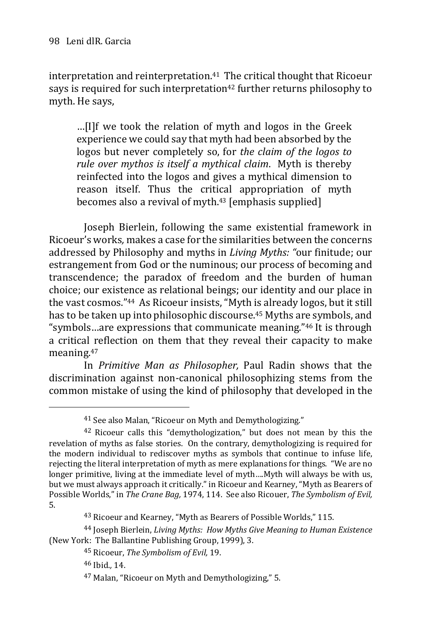interpretation and reinterpretation.<sup>41</sup> The critical thought that Ricoeur says is required for such interpretation<sup>42</sup> further returns philosophy to myth. He says,

…[I]f we took the relation of myth and logos in the Greek experience we could say that myth had been absorbed by the logos but never completely so, for *the claim of the logos to rule over mythos is itself a mythical claim*. Myth is thereby reinfected into the logos and gives a mythical dimension to reason itself. Thus the critical appropriation of myth becomes also a revival of myth.<sup>43</sup> [emphasis supplied]

Joseph Bierlein, following the same existential framework in Ricoeur's works*,* makes a case for the similarities between the concerns addressed by Philosophy and myths in *Living Myths: "*our finitude; our estrangement from God or the numinous; our process of becoming and transcendence; the paradox of freedom and the burden of human choice; our existence as relational beings; our identity and our place in the vast cosmos."44 As Ricoeur insists, "Myth is already logos, but it still has to be taken up into philosophic discourse.<sup>45</sup> Myths are symbols, and "symbols…are expressions that communicate meaning."<sup>46</sup> It is through a critical reflection on them that they reveal their capacity to make meaning.<sup>47</sup>

In *Primitive Man as Philosopher,* Paul Radin shows that the discrimination against non-canonical philosophizing stems from the common mistake of using the kind of philosophy that developed in the

43 Ricoeur and Kearney, "Myth as Bearers of Possible Worlds," 115.

44 Joseph Bierlein, *Living Myths: How Myths Give Meaning to Human Existence* (New York: The Ballantine Publishing Group, 1999), 3.

<u>.</u>

<sup>41</sup> See also Malan, "Ricoeur on Myth and Demythologizing."

<sup>&</sup>lt;sup>42</sup> Ricoeur calls this "demythologization," but does not mean by this the revelation of myths as false stories. On the contrary, demythologizing is required for the modern individual to rediscover myths as symbols that continue to infuse life, rejecting the literal interpretation of myth as mere explanations for things. "We are no longer primitive, living at the immediate level of myth….Myth will always be with us, but we must always approach it critically." in Ricoeur and Kearney, "Myth as Bearers of Possible Worlds," in *The Crane Bag,* 1974, 114.See also Ricouer, *The Symbolism of Evil,* 5.

<sup>45</sup> Ricoeur, *The Symbolism of Evil,* 19.

<sup>46</sup> Ibid.*,* 14.

<sup>47</sup> Malan, "Ricoeur on Myth and Demythologizing," 5.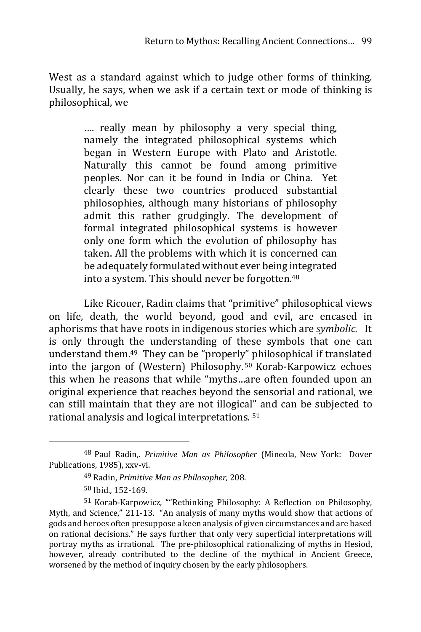West as a standard against which to judge other forms of thinking. Usually, he says, when we ask if a certain text or mode of thinking is philosophical, we

> …. really mean by philosophy a very special thing, namely the integrated philosophical systems which began in Western Europe with Plato and Aristotle. Naturally this cannot be found among primitive peoples. Nor can it be found in India or China. Yet clearly these two countries produced substantial philosophies, although many historians of philosophy admit this rather grudgingly. The development of formal integrated philosophical systems is however only one form which the evolution of philosophy has taken. All the problems with which it is concerned can be adequately formulated without ever being integrated into a system. This should never be forgotten.<sup>48</sup>

Like Ricouer, Radin claims that "primitive" philosophical views on life, death, the world beyond, good and evil, are encased in aphorisms that have roots in indigenous stories which are *symbolic.* It is only through the understanding of these symbols that one can understand them.49 They can be "properly" philosophical if translated into the jargon of (Western) Philosophy. <sup>50</sup> Korab-Karpowicz echoes this when he reasons that while "myths…are often founded upon an original experience that reaches beyond the sensorial and rational, we can still maintain that they are not illogical" and can be subjected to rational analysis and logical interpretations. <sup>51</sup>

<sup>48</sup> Paul Radin,. *Primitive Man as Philosopher* (Mineola, New York: Dover Publications, 1985), xxv-vi.

<sup>49</sup> Radin, *Primitive Man as Philosopher,* 208.

<sup>50</sup> Ibid.*,* 152-169.

<sup>51</sup> Korab-Karpowicz, ""Rethinking Philosophy: A Reflection on Philosophy, Myth, and Science," 211-13. "An analysis of many myths would show that actions of gods and heroes often presuppose a keen analysis of given circumstances and are based on rational decisions." He says further that only very superficial interpretations will portray myths as irrational. The pre-philosophical rationalizing of myths in Hesiod, however, already contributed to the decline of the mythical in Ancient Greece, worsened by the method of inquiry chosen by the early philosophers.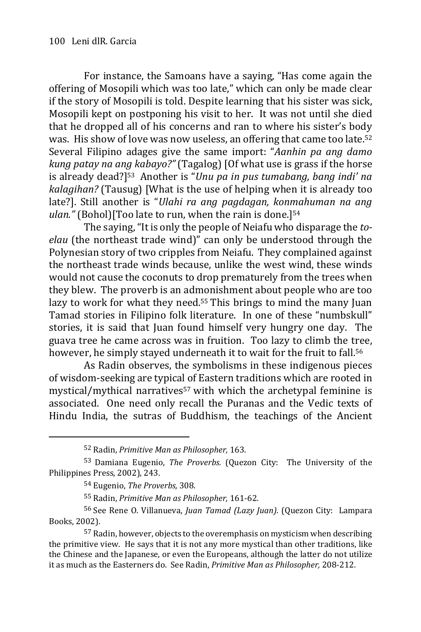For instance, the Samoans have a saying, "Has come again the offering of Mosopili which was too late," which can only be made clear if the story of Mosopili is told. Despite learning that his sister was sick, Mosopili kept on postponing his visit to her. It was not until she died that he dropped all of his concerns and ran to where his sister's body was. His show of love was now useless, an offering that came too late.<sup>52</sup> Several Filipino adages give the same import: "*Aanhin pa ang damo kung patay na ang kabayo?"* (Tagalog) [Of what use is grass if the horse is already dead?]53 Another is "*Unu pa in pus tumabang, bang indi' na kalagihan?* (Tausug) [What is the use of helping when it is already too late?]. Still another is "*Ulahi ra ang pagdagan, konmahuman na ang ulan."* (Bohol)[Too late to run, when the rain is done.]<sup>54</sup>

The saying,"It is only the people of Neiafu who disparage the *toelau* (the northeast trade wind)" can only be understood through the Polynesian story of two cripples from Neiafu. They complained against the northeast trade winds because, unlike the west wind, these winds would not cause the coconuts to drop prematurely from the trees when they blew. The proverb is an admonishment about people who are too lazy to work for what they need.<sup>55</sup> This brings to mind the many Juan Tamad stories in Filipino folk literature. In one of these "numbskull" stories, it is said that Juan found himself very hungry one day. The guava tree he came across was in fruition. Too lazy to climb the tree, however, he simply stayed underneath it to wait for the fruit to fall.<sup>56</sup>

As Radin observes, the symbolisms in these indigenous pieces of wisdom-seeking are typical of Eastern traditions which are rooted in mystical/mythical narratives<sup>57</sup> with which the archetypal feminine is associated. One need only recall the Puranas and the Vedic texts of Hindu India, the sutras of Buddhism, the teachings of the Ancient

<sup>52</sup> Radin, *Primitive Man as Philosopher,* 163.

<sup>53</sup> Damiana Eugenio, *The Proverbs.* (Quezon City: The University of the Philippines Press, 2002), 243.

<sup>54</sup> Eugenio, *The Proverbs,* 308.

<sup>55</sup> Radin, *Primitive Man as Philosopher,* 161-62.

<sup>56</sup> See Rene O. Villanueva, *Juan Tamad (Lazy Juan).* (Quezon City: Lampara Books, 2002).

<sup>57</sup> Radin, however, objects to the overemphasis on mysticism when describing the primitive view. He says that it is not any more mystical than other traditions, like the Chinese and the Japanese, or even the Europeans, although the latter do not utilize it as much as the Easterners do. See Radin, *Primitive Man as Philosopher,* 208-212.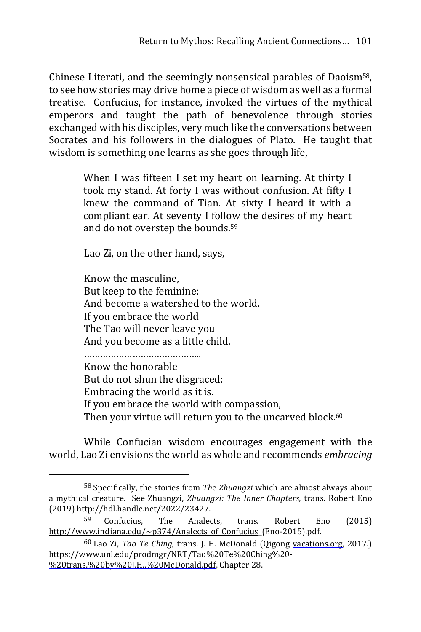Chinese Literati, and the seemingly nonsensical parables of Daoism58, to see how stories may drive home a piece of wisdom as well as a formal treatise. Confucius, for instance, invoked the virtues of the mythical emperors and taught the path of benevolence through stories exchanged with his disciples, very much like the conversations between Socrates and his followers in the dialogues of Plato. He taught that wisdom is something one learns as she goes through life,

> When I was fifteen I set my heart on learning. At thirty I took my stand. At forty I was without confusion. At fifty I knew the command of Tian. At sixty I heard it with a compliant ear. At seventy I follow the desires of my heart and do not overstep the bounds.<sup>59</sup>

Lao Zi, on the other hand, says,

<u>.</u>

Know the masculine, But keep to the feminine: And become a watershed to the world. If you embrace the world The Tao will never leave you And you become as a little child.

…………………………………….. Know the honorable But do not shun the disgraced: Embracing the world as it is. If you embrace the world with compassion, Then your virtue will return you to the uncarved block.<sup>60</sup>

While Confucian wisdom encourages engagement with the world, Lao Zi envisions the world as whole and recommends *embracing*

<sup>58</sup> Specifically, the stories from *Th*e *Zhuangzi* which are almost always about a mythical creature. See Zhuangzi, *Zhuangzi: The Inner Chapters,* trans. Robert Eno (2019) http://hdl.handle.net/2022/23427.

<sup>59</sup> Confucius, The Analects, trans. Robert Eno (2015) http://www.indiana.edu/~p374/Analects\_of\_Confucius\_(Eno-2015).pdf.

<sup>60</sup> Lao Zi, *Tao Te Ching,* trans. J. H. McDonald (Qigong vacations.org, 2017.) https://www.unl.edu/prodmgr/NRT/Tao%20Te%20Ching%20- %20trans.%20by%20J.H..%20McDonald.pdf, Chapter 28.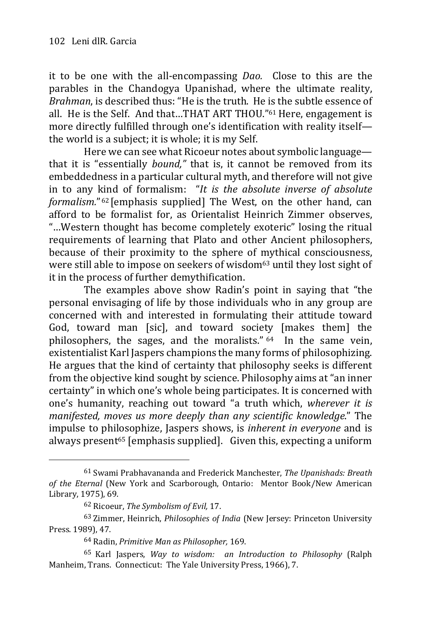it to be one with the all-encompassing *Dao.* Close to this are the parables in the Chandogya Upanishad, where the ultimate reality, *Brahman*, is described thus: "He is the truth. He is the subtle essence of all. He is the Self. And that…THAT ART THOU." <sup>61</sup> Here, engagement is more directly fulfilled through one's identification with reality itself the world is a subject; it is whole; it is my Self.

Here we can see what Ricoeur notes about symbolic language that it is "essentially *bound,"* that is, it cannot be removed from its embeddedness in a particular cultural myth, and therefore will not give in to any kind of formalism: "*It is the absolute inverse of absolute formalism.*" <sup>62</sup> [emphasis supplied] The West, on the other hand, can afford to be formalist for, as Orientalist Heinrich Zimmer observes, "…Western thought has become completely exoteric" losing the ritual requirements of learning that Plato and other Ancient philosophers, because of their proximity to the sphere of mythical consciousness, were still able to impose on seekers of wisdom<sup>63</sup> until they lost sight of it in the process of further demythification.

The examples above show Radin's point in saying that "the personal envisaging of life by those individuals who in any group are concerned with and interested in formulating their attitude toward God, toward man [sic], and toward society [makes them] the philosophers, the sages, and the moralists." <sup>64</sup>In the same vein, existentialist Karl Jaspers champions the many forms of philosophizing. He argues that the kind of certainty that philosophy seeks is different from the objective kind sought by science. Philosophy aims at "an inner certainty" in which one's whole being participates. It is concerned with one's humanity, reaching out toward "a truth which, *wherever it is manifested, moves us more deeply than any scientific knowledge*." The impulse to philosophize, Jaspers shows, is *inherent in everyone* and is always present<sup>65</sup> [emphasis supplied]. Given this, expecting a uniform

<sup>61</sup> Swami Prabhavananda and Frederick Manchester, *The Upanishads: Breath of the Eternal* (New York and Scarborough, Ontario: Mentor Book/New American Library, 1975), 69.

<sup>62</sup> Ricoeur, *The Symbolism of Evil,* 17.

<sup>63</sup> Zimmer, Heinrich, *Philosophies of India* (New Jersey: Princeton University Press. 1989), 47.

<sup>64</sup> Radin, *Primitive Man as Philosopher,* 169.

<sup>65</sup> Karl Jaspers, *Way to wisdom: an Introduction to Philosophy* (Ralph Manheim, Trans. Connecticut: The Yale University Press, 1966), 7.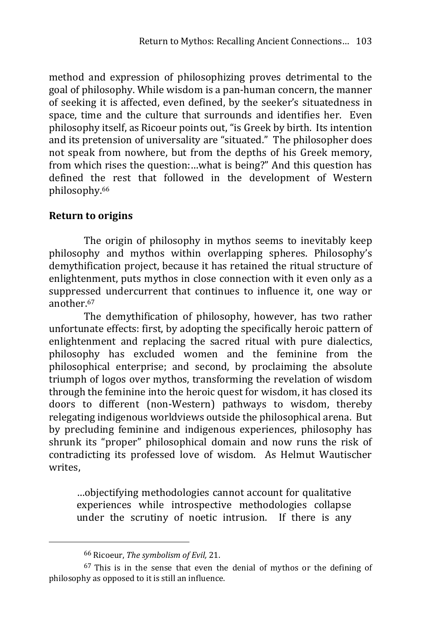method and expression of philosophizing proves detrimental to the goal of philosophy. While wisdom is a pan-human concern, the manner of seeking it is affected, even defined, by the seeker's situatedness in space, time and the culture that surrounds and identifies her. Even philosophy itself, as Ricoeur points out, "is Greek by birth. Its intention and its pretension of universality are "situated." The philosopher does not speak from nowhere, but from the depths of his Greek memory, from which rises the question:…what is being?" And this question has defined the rest that followed in the development of Western philosophy.<sup>66</sup>

## **Return to origins**

The origin of philosophy in mythos seems to inevitably keep philosophy and mythos within overlapping spheres. Philosophy's demythification project, because it has retained the ritual structure of enlightenment, puts mythos in close connection with it even only as a suppressed undercurrent that continues to influence it, one way or another.<sup>67</sup>

The demythification of philosophy, however, has two rather unfortunate effects: first, by adopting the specifically heroic pattern of enlightenment and replacing the sacred ritual with pure dialectics, philosophy has excluded women and the feminine from the philosophical enterprise; and second, by proclaiming the absolute triumph of logos over mythos, transforming the revelation of wisdom through the feminine into the heroic quest for wisdom, it has closed its doors to different (non-Western) pathways to wisdom, thereby relegating indigenous worldviews outside the philosophical arena. But by precluding feminine and indigenous experiences, philosophy has shrunk its "proper" philosophical domain and now runs the risk of contradicting its professed love of wisdom. As Helmut Wautischer writes,

…objectifying methodologies cannot account for qualitative experiences while introspective methodologies collapse under the scrutiny of noetic intrusion. If there is any

<sup>66</sup> Ricoeur, *The symbolism of Evil,* 21.

<sup>67</sup> This is in the sense that even the denial of mythos or the defining of philosophy as opposed to it is still an influence.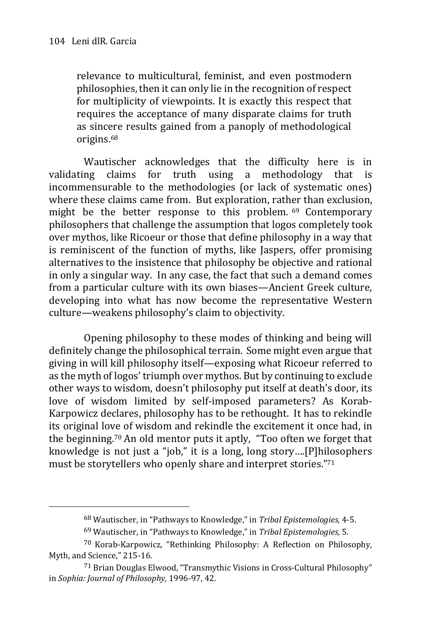relevance to multicultural, feminist, and even postmodern philosophies, then it can only lie in the recognition of respect for multiplicity of viewpoints. It is exactly this respect that requires the acceptance of many disparate claims for truth as sincere results gained from a panoply of methodological origins.<sup>68</sup>

Wautischer acknowledges that the difficulty here is in validating claims for truth using a methodology that is incommensurable to the methodologies (or lack of systematic ones) where these claims came from. But exploration, rather than exclusion, might be the better response to this problem. <sup>69</sup> Contemporary philosophers that challenge the assumption that logos completely took over mythos, like Ricoeur or those that define philosophy in a way that is reminiscent of the function of myths, like Jaspers, offer promising alternatives to the insistence that philosophy be objective and rational in only a singular way. In any case, the fact that such a demand comes from a particular culture with its own biases—Ancient Greek culture, developing into what has now become the representative Western culture—weakens philosophy's claim to objectivity.

Opening philosophy to these modes of thinking and being will definitely change the philosophical terrain. Some might even argue that giving in will kill philosophy itself—exposing what Ricoeur referred to as the myth of logos' triumph over mythos. But by continuing to exclude other ways to wisdom, doesn't philosophy put itself at death's door, its love of wisdom limited by self-imposed parameters? As Korab-Karpowicz declares, philosophy has to be rethought. It has to rekindle its original love of wisdom and rekindle the excitement it once had, in the beginning.<sup>70</sup> An old mentor puts it aptly, "Too often we forget that knowledge is not just a "job," it is a long, long story….[P]hilosophers must be storytellers who openly share and interpret stories."<sup>71</sup>

<sup>68</sup> Wautischer, in "Pathways to Knowledge," in *Tribal Epistemologies,* 4-5.

<sup>69</sup> Wautischer, in "Pathways to Knowledge," in *Tribal Epistemologies,* 5.

<sup>70</sup> Korab-Karpowicz, "Rethinking Philosophy: A Reflection on Philosophy, Myth, and Science," 215-16.

<sup>71</sup> Brian Douglas Elwood, "Transmythic Visions in Cross-Cultural Philosophy" in *Sophia: Journal of Philosophy,* 1996-97, 42.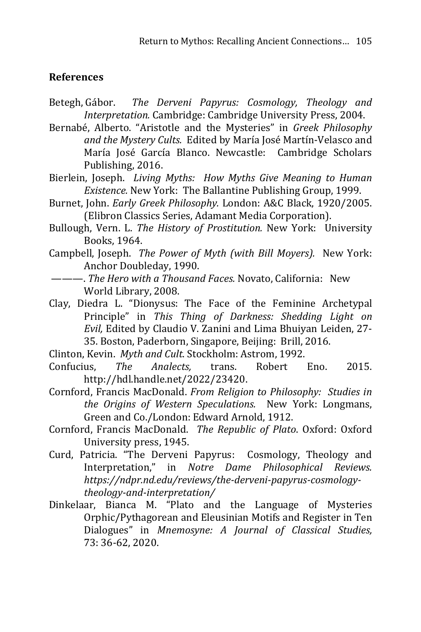## **References**

- Betegh, Gábor. *The Derveni Papyrus: Cosmology, Theology and Interpretation.* Cambridge: Cambridge University Press, 2004.
- Bernabé, Alberto. "Aristotle and the Mysteries" in *Greek Philosophy and the Mystery Cults.* Edited by María José Martín-Velasco and María José García Blanco. Newcastle: Cambridge Scholars Publishing, 2016.
- Bierlein, Joseph. *Living Myths: How Myths Give Meaning to Human Existence.* New York: The Ballantine Publishing Group, 1999.
- Burnet, John. *Early Greek Philosophy.* London: A&C Black, 1920/2005. (Elibron Classics Series, Adamant Media Corporation).
- Bullough, Vern. L. *The History of Prostitution.* New York: University Books, 1964.
- Campbell, Joseph. *The Power of Myth (with Bill Moyers).* New York: Anchor Doubleday, 1990.
- ———. *The Hero with a Thousand Faces.* Novato, California: New World Library, 2008.
- Clay, Diedra L. "Dionysus: The Face of the Feminine Archetypal Principle" in *This Thing of Darkness: Shedding Light on Evil,* Edited by Claudio V. Zanini and Lima Bhuiyan Leiden, 27- 35. Boston, Paderborn, Singapore, Beijing: Brill, 2016.

Clinton, Kevin. *Myth and Cult*. Stockholm: Astrom, 1992.

- Confucius, *The Analects,* trans. Robert Eno. 2015. http://hdl.handle.net/2022/23420.
- Cornford, Francis MacDonald. *From Religion to Philosophy: Studies in the Origins of Western Speculations.* New York: Longmans, Green and Co./London: Edward Arnold, 1912.
- Cornford, Francis MacDonald. *The Republic of Plato*. Oxford: Oxford University press, 1945.
- Curd, Patricia. "The Derveni Papyrus: Cosmology, Theology and Interpretation," in *Notre Dame Philosophical Reviews. https://ndpr.nd.edu/reviews/the-derveni-papyrus-cosmologytheology-and-interpretation/*
- Dinkelaar, Bianca M. "Plato and the Language of Mysteries Orphic/Pythagorean and Eleusinian Motifs and Register in Ten Dialogues" in *Mnemosyne: A Journal of Classical Studies,* 73: 36-62, 2020.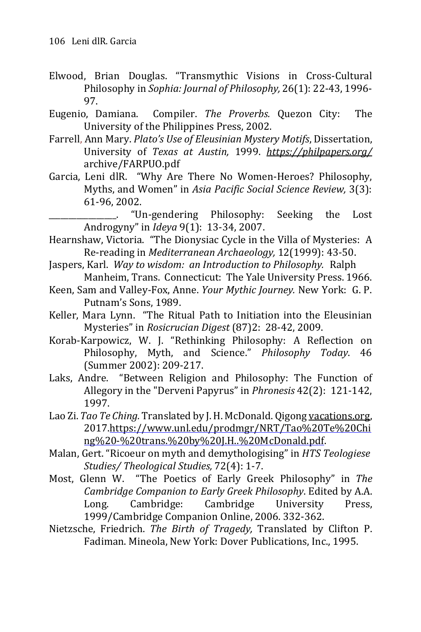- Elwood, Brian Douglas. "Transmythic Visions in Cross-Cultural Philosophy in *Sophia: Journal of Philosophy,* 26(1): 22-43, 1996- 97.
- Eugenio, Damiana. Compiler. *The Proverbs.* Quezon City: The University of the Philippines Press, 2002.
- Farrell, Ann Mary. *Plato's Use of Eleusinian Mystery Motifs*, Dissertation, University of *Texas at Austin,* 1999. *<https://philpapers.org/>* archive/FARPUO.pdf
- Garcia, Leni dlR. "Why Are There No Women-Heroes? Philosophy, Myths, and Women" in *Asia Pacific Social Science Review,* 3(3): 61-96, 2002.

\_\_\_\_\_\_\_\_\_\_\_\_\_\_\_\_\_. "Un-gendering Philosophy: Seeking the Lost Androgyny" in *Ideya* 9(1): 13-34, 2007.

- Hearnshaw, Victoria. "The Dionysiac Cycle in the Villa of Mysteries: A Re-reading in *Mediterranean Archaeology,* 12(1999): 43-50.
- Jaspers, Karl. *Way to wisdom: an Introduction to Philosophy.* Ralph Manheim, Trans. Connecticut: The Yale University Press. 1966.
- Keen, Sam and Valley-Fox, Anne. *Your Mythic Journey.* New York: G. P. Putnam's Sons, 1989.
- Keller, Mara Lynn. "The Ritual Path to Initiation into the Eleusinian Mysteries" in *Rosicrucian Digest* (87)2: 28-42, 2009.
- Korab-Karpowicz, W. J. "Rethinking Philosophy: A Reflection on Philosophy, Myth, and Science." *Philosophy Today*. 46 (Summer 2002): 209-217.
- Laks, Andre. "Between Religion and Philosophy: The Function of Allegory in the "Derveni Papyrus" in *Phronesis* 42(2): 121-142, 1997.
- Lao Zi. *Tao Te Ching.* Translated by J.H. McDonald. Qigong [vacations.org,](http://vacations.org/) 2017[.https://www.unl.edu/prodmgr/NRT/Tao%20Te%20Chi](https://www.unl.edu/prodmgr/NRT/Tao%2520Te%2520Chi%2509ng%2520-%2520trans.%2520by%2520J.H..%2520McDonald.pdf) [ng%20-%20trans.%20by%20J.H..%20McDonald.pdf.](https://www.unl.edu/prodmgr/NRT/Tao%2520Te%2520Chi%2509ng%2520-%2520trans.%2520by%2520J.H..%2520McDonald.pdf)
- Malan, Gert. "Ricoeur on myth and demythologising" in *HTS Teologiese Studies/ Theological Studies,* 72(4): 1-7.
- Most, Glenn W. "The Poetics of Early Greek Philosophy" in *The Cambridge Companion to Early Greek Philosophy*. Edited by A.A. Long. Cambridge: Cambridge University Press, 1999/Cambridge Companion Online, 2006. 332-362.
- Nietzsche, Friedrich. *The Birth of Tragedy,* Translated by Clifton P. Fadiman. Mineola, New York: Dover Publications, Inc., 1995.